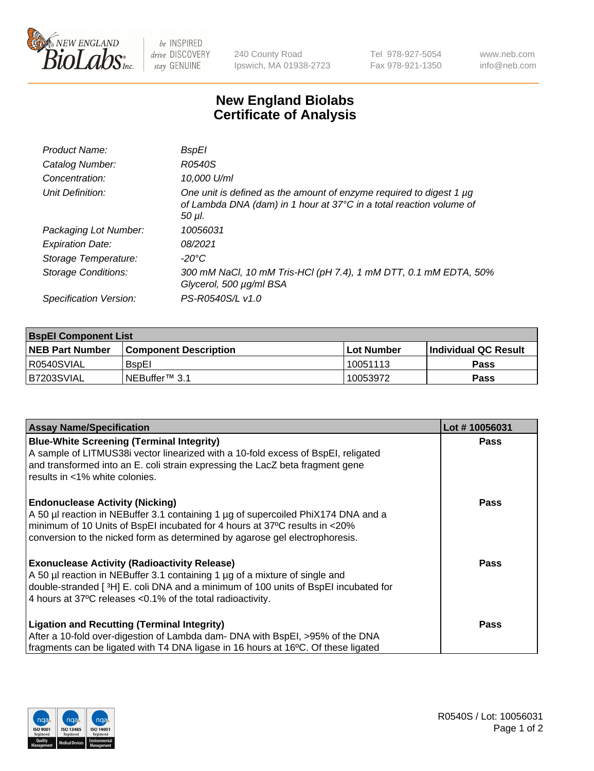

be INSPIRED drive DISCOVERY stay GENUINE

240 County Road Ipswich, MA 01938-2723 Tel 978-927-5054 Fax 978-921-1350 www.neb.com info@neb.com

## **New England Biolabs Certificate of Analysis**

| Product Name:           | BspEl                                                                                                                                                     |
|-------------------------|-----------------------------------------------------------------------------------------------------------------------------------------------------------|
| Catalog Number:         | R0540S                                                                                                                                                    |
| Concentration:          | 10,000 U/ml                                                                                                                                               |
| Unit Definition:        | One unit is defined as the amount of enzyme required to digest 1 $\mu$ g<br>of Lambda DNA (dam) in 1 hour at 37°C in a total reaction volume of<br>50 µI. |
| Packaging Lot Number:   | 10056031                                                                                                                                                  |
| <b>Expiration Date:</b> | 08/2021                                                                                                                                                   |
| Storage Temperature:    | -20°C                                                                                                                                                     |
| Storage Conditions:     | 300 mM NaCl, 10 mM Tris-HCl (pH 7.4), 1 mM DTT, 0.1 mM EDTA, 50%<br>Glycerol, 500 µg/ml BSA                                                               |
| Specification Version:  | PS-R0540S/L v1.0                                                                                                                                          |

| <b>BspEl Component List</b> |                              |             |                             |  |  |
|-----------------------------|------------------------------|-------------|-----------------------------|--|--|
| <b>NEB Part Number</b>      | <b>Component Description</b> | ⊺Lot Number | <b>Individual QC Result</b> |  |  |
| I R0540SVIAL                | <b>B</b> spEl                | 10051113    | Pass                        |  |  |
| IB7203SVIAL                 | INEBuffer™ 3.1               | 10053972    | <b>Pass</b>                 |  |  |

| <b>Assay Name/Specification</b>                                                    | Lot #10056031 |
|------------------------------------------------------------------------------------|---------------|
| <b>Blue-White Screening (Terminal Integrity)</b>                                   | <b>Pass</b>   |
| A sample of LITMUS38i vector linearized with a 10-fold excess of BspEI, religated  |               |
| and transformed into an E. coli strain expressing the LacZ beta fragment gene      |               |
| results in <1% white colonies.                                                     |               |
| <b>Endonuclease Activity (Nicking)</b>                                             | <b>Pass</b>   |
| A 50 µl reaction in NEBuffer 3.1 containing 1 µg of supercoiled PhiX174 DNA and a  |               |
| minimum of 10 Units of BspEI incubated for 4 hours at 37°C results in <20%         |               |
| conversion to the nicked form as determined by agarose gel electrophoresis.        |               |
| <b>Exonuclease Activity (Radioactivity Release)</b>                                | Pass          |
| A 50 µl reaction in NEBuffer 3.1 containing 1 µg of a mixture of single and        |               |
| double-stranded [3H] E. coli DNA and a minimum of 100 units of BspEI incubated for |               |
| 4 hours at 37°C releases < 0.1% of the total radioactivity.                        |               |
| Ligation and Recutting (Terminal Integrity)                                        | <b>Pass</b>   |
| After a 10-fold over-digestion of Lambda dam- DNA with BspEI, >95% of the DNA      |               |
| fragments can be ligated with T4 DNA ligase in 16 hours at 16°C. Of these ligated  |               |